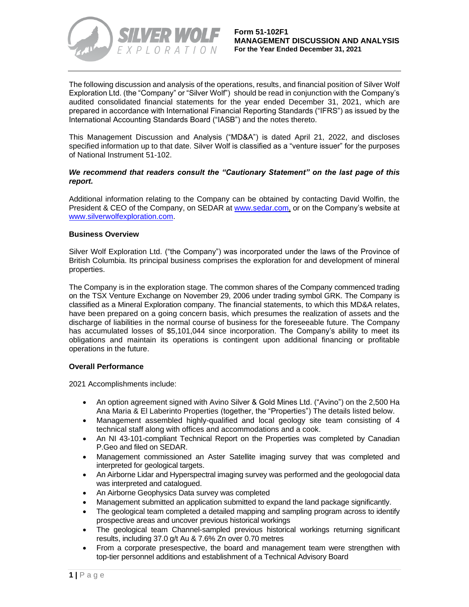

The following discussion and analysis of the operations, results, and financial position of Silver Wolf Exploration Ltd. (the "Company" or "Silver Wolf") should be read in conjunction with the Company's audited consolidated financial statements for the year ended December 31, 2021, which are prepared in accordance with International Financial Reporting Standards ("IFRS") as issued by the International Accounting Standards Board ("IASB") and the notes thereto.

This Management Discussion and Analysis ("MD&A") is dated April 21, 2022, and discloses specified information up to that date. Silver Wolf is classified as a "venture issuer" for the purposes of National Instrument 51-102.

## *We recommend that readers consult the "Cautionary Statement" on the last page of this report.*

Additional information relating to the Company can be obtained by contacting David Wolfin, the President & CEO of the Company, on SEDAR at [www.sedar.com,](http://www.sedar.com/) or on the Company's website at www.silverwolfexploration.com.

### **Business Overview**

Silver Wolf Exploration Ltd. ("the Company") was incorporated under the laws of the Province of British Columbia. Its principal business comprises the exploration for and development of mineral properties.

The Company is in the exploration stage. The common shares of the Company commenced trading on the TSX Venture Exchange on November 29, 2006 under trading symbol GRK. The Company is classified as a Mineral Exploration company. The financial statements, to which this MD&A relates, have been prepared on a going concern basis, which presumes the realization of assets and the discharge of liabilities in the normal course of business for the foreseeable future. The Company has accumulated losses of \$5,101,044 since incorporation. The Company's ability to meet its obligations and maintain its operations is contingent upon additional financing or profitable operations in the future.

### **Overall Performance**

2021 Accomplishments include:

- An option agreement signed with Avino Silver & Gold Mines Ltd. ("Avino") on the 2,500 Ha Ana Maria & El Laberinto Properties (together, the "Properties") The details listed below.
- Management assembled highly-qualified and local geology site team consisting of 4 technical staff along with offices and accommodations and a cook.
- An NI 43-101-compliant Technical Report on the Properties was completed by Canadian P.Geo and filed on SEDAR.
- Management commissioned an Aster Satellite imaging survey that was completed and interpreted for geological targets.
- An Airborne Lidar and Hyperspectral imaging survey was performed and the geologocial data was interpreted and catalogued.
- An Airborne Geophysics Data survey was completed
- Management submitted an application submitted to expand the land package significantly.
- The geological team completed a detailed mapping and sampling program across to identify prospective areas and uncover previous historical workings
- The geological team Channel-sampled previous historical workings returning significant results, including 37.0 g/t Au & 7.6% Zn over 0.70 metres
- From a corporate presespective, the board and management team were strengthen with top-tier personnel additions and establishment of a Technical Advisory Board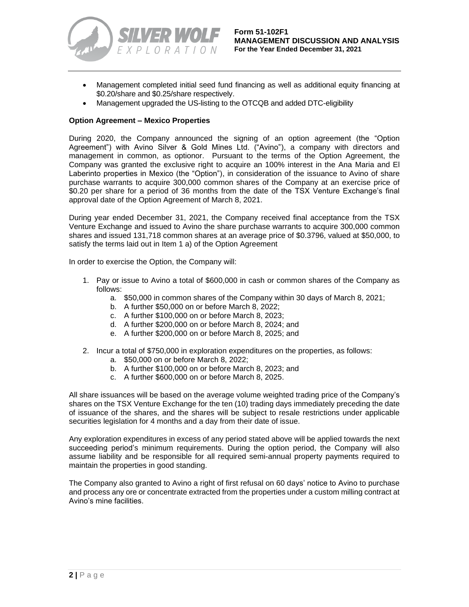

- Management completed initial seed fund financing as well as additional equity financing at \$0.20/share and \$0.25/share respectively.
- Management upgraded the US-listing to the OTCQB and added DTC-eligibility

## **Option Agreement – Mexico Properties**

During 2020, the Company announced the signing of an option agreement (the "Option Agreement") with Avino Silver & Gold Mines Ltd. ("Avino"), a company with directors and management in common, as optionor. Pursuant to the terms of the Option Agreement, the Company was granted the exclusive right to acquire an 100% interest in the Ana Maria and El Laberinto properties in Mexico (the "Option"), in consideration of the issuance to Avino of share purchase warrants to acquire 300,000 common shares of the Company at an exercise price of \$0.20 per share for a period of 36 months from the date of the TSX Venture Exchange's final approval date of the Option Agreement of March 8, 2021.

During year ended December 31, 2021, the Company received final acceptance from the TSX Venture Exchange and issued to Avino the share purchase warrants to acquire 300,000 common shares and issued 131,718 common shares at an average price of \$0.3796, valued at \$50,000, to satisfy the terms laid out in Item 1 a) of the Option Agreement

In order to exercise the Option, the Company will:

- 1. Pay or issue to Avino a total of \$600,000 in cash or common shares of the Company as follows:
	- a. \$50,000 in common shares of the Company within 30 days of March 8, 2021;
	- b. A further \$50,000 on or before March 8, 2022;
	- c. A further \$100,000 on or before March 8, 2023;
	- d. A further \$200,000 on or before March 8, 2024; and
	- e. A further \$200,000 on or before March 8, 2025; and
- 2. Incur a total of \$750,000 in exploration expenditures on the properties, as follows:
	- a. \$50,000 on or before March 8, 2022;
	- b. A further \$100,000 on or before March 8, 2023; and
	- c. A further \$600,000 on or before March 8, 2025.

All share issuances will be based on the average volume weighted trading price of the Company's shares on the TSX Venture Exchange for the ten (10) trading days immediately preceding the date of issuance of the shares, and the shares will be subject to resale restrictions under applicable securities legislation for 4 months and a day from their date of issue.

Any exploration expenditures in excess of any period stated above will be applied towards the next succeeding period's minimum requirements. During the option period, the Company will also assume liability and be responsible for all required semi-annual property payments required to maintain the properties in good standing.

The Company also granted to Avino a right of first refusal on 60 days' notice to Avino to purchase and process any ore or concentrate extracted from the properties under a custom milling contract at Avino's mine facilities.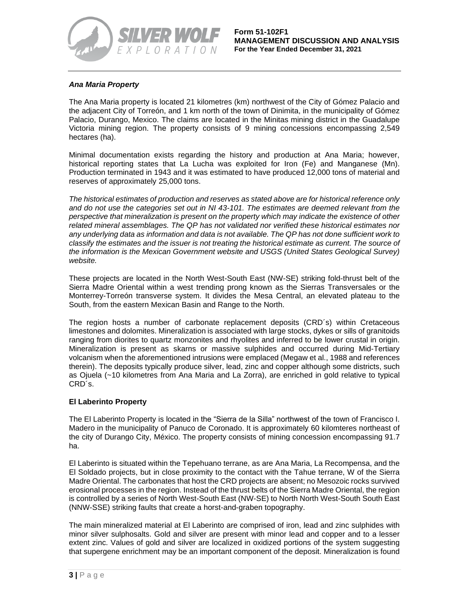

# *Ana Maria Property*

The Ana Maria property is located 21 kilometres (km) northwest of the City of Gómez Palacio and the adjacent City of Torreón, and 1 km north of the town of Dinimita, in the municipality of Gómez Palacio, Durango, Mexico. The claims are located in the Minitas mining district in the Guadalupe Victoria mining region. The property consists of 9 mining concessions encompassing 2,549 hectares (ha).

Minimal documentation exists regarding the history and production at Ana Maria; however, historical reporting states that La Lucha was exploited for Iron (Fe) and Manganese (Mn). Production terminated in 1943 and it was estimated to have produced 12,000 tons of material and reserves of approximately 25,000 tons.

*The historical estimates of production and reserves as stated above are for historical reference only and do not use the categories set out in NI 43-101. The estimates are deemed relevant from the perspective that mineralization is present on the property which may indicate the existence of other related mineral assemblages. The QP has not validated nor verified these historical estimates nor any underlying data as information and data is not available. The QP has not done sufficient work to classify the estimates and the issuer is not treating the historical estimate as current. The source of the information is the Mexican Government website and USGS (United States Geological Survey) website.* 

These projects are located in the North West-South East (NW-SE) striking fold-thrust belt of the Sierra Madre Oriental within a west trending prong known as the Sierras Transversales or the Monterrey-Torreón transverse system. It divides the Mesa Central, an elevated plateau to the South, from the eastern Mexican Basin and Range to the North.

The region hosts a number of carbonate replacement deposits (CRD´s) within Cretaceous limestones and dolomites. Mineralization is associated with large stocks, dykes or sills of granitoids ranging from diorites to quartz monzonites and rhyolites and inferred to be lower crustal in origin. Mineralization is present as skarns or massive sulphides and occurred during Mid-Tertiary volcanism when the aforementioned intrusions were emplaced (Megaw et al., 1988 and references therein). The deposits typically produce silver, lead, zinc and copper although some districts, such as Ojuela (~10 kilometres from Ana Maria and La Zorra), are enriched in gold relative to typical CRD´s.

### **El Laberinto Property**

The El Laberinto Property is located in the "Sierra de la Silla" northwest of the town of Francisco I. Madero in the municipality of Panuco de Coronado. It is approximately 60 kilomteres northeast of the city of Durango City, México. The property consists of mining concession encompassing 91.7 ha.

El Laberinto is situated within the Tepehuano terrane, as are Ana Maria, La Recompensa, and the El Soldado projects, but in close proximity to the contact with the Tahue terrane, W of the Sierra Madre Oriental. The carbonates that host the CRD projects are absent; no Mesozoic rocks survived erosional processes in the region. Instead of the thrust belts of the Sierra Madre Oriental, the region is controlled by a series of North West-South East (NW-SE) to North North West-South South East (NNW-SSE) striking faults that create a horst-and-graben topography.

The main mineralized material at El Laberinto are comprised of iron, lead and zinc sulphides with minor silver sulphosalts. Gold and silver are present with minor lead and copper and to a lesser extent zinc. Values of gold and silver are localized in oxidized portions of the system suggesting that supergene enrichment may be an important component of the deposit. Mineralization is found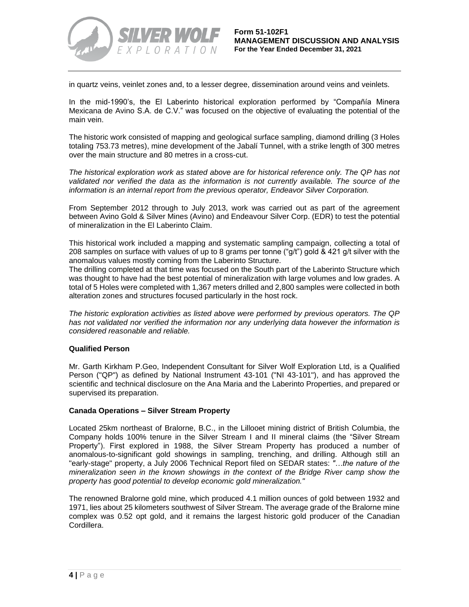

in quartz veins, veinlet zones and, to a lesser degree, dissemination around veins and veinlets.

In the mid-1990's, the El Laberinto historical exploration performed by "Compañía Minera Mexicana de Avino S.A. de C.V." was focused on the objective of evaluating the potential of the main vein.

The historic work consisted of mapping and geological surface sampling, diamond drilling (3 Holes totaling 753.73 metres), mine development of the Jabalí Tunnel, with a strike length of 300 metres over the main structure and 80 metres in a cross-cut.

*The historical exploration work as stated above are for historical reference only. The QP has not validated nor verified the data as the information is not currently available. The source of the information is an internal report from the previous operator, Endeavor Silver Corporation.*

From September 2012 through to July 2013, work was carried out as part of the agreement between Avino Gold & Silver Mines (Avino) and Endeavour Silver Corp. (EDR) to test the potential of mineralization in the El Laberinto Claim.

This historical work included a mapping and systematic sampling campaign, collecting a total of 208 samples on surface with values of up to 8 grams per tonne ("g/t") gold & 421 g/t silver with the anomalous values mostly coming from the Laberinto Structure.

The drilling completed at that time was focused on the South part of the Laberinto Structure which was thought to have had the best potential of mineralization with large volumes and low grades. A total of 5 Holes were completed with 1,367 meters drilled and 2,800 samples were collected in both alteration zones and structures focused particularly in the host rock.

*The historic exploration activities as listed above were performed by previous operators. The QP has not validated nor verified the information nor any underlying data however the information is considered reasonable and reliable.*

### **Qualified Person**

Mr. Garth Kirkham P.Geo, Independent Consultant for Silver Wolf Exploration Ltd, is a Qualified Person ("QP") as defined by National Instrument 43-101 ("NI 43-101"), and has approved the scientific and technical disclosure on the Ana Maria and the Laberinto Properties, and prepared or supervised its preparation.

### **Canada Operations – Silver Stream Property**

Located 25km northeast of Bralorne, B.C., in the Lillooet mining district of British Columbia, the Company holds 100% tenure in the Silver Stream I and II mineral claims (the "Silver Stream Property"). First explored in 1988, the Silver Stream Property has produced a number of anomalous-to-significant gold showings in sampling, trenching, and drilling. Although still an "early-stage" property, a July 2006 Technical Report filed on SEDAR states: *"…the nature of the mineralization seen in the known showings in the context of the Bridge River camp show the property has good potential to develop economic gold mineralization."*

The renowned Bralorne gold mine, which produced 4.1 million ounces of gold between 1932 and 1971, lies about 25 kilometers southwest of Silver Stream. The average grade of the Bralorne mine complex was 0.52 opt gold, and it remains the largest historic gold producer of the Canadian Cordillera.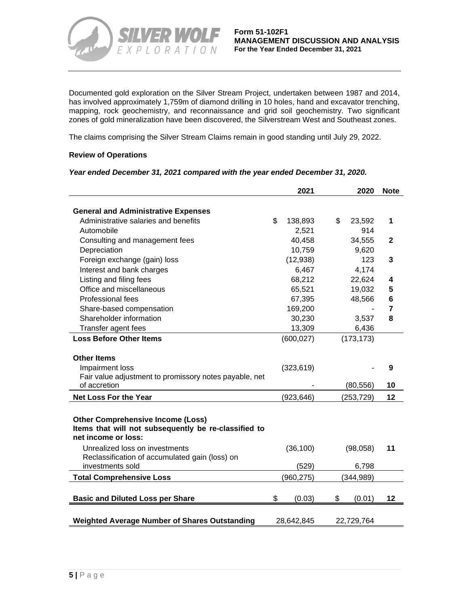

Documented gold exploration on the Silver Stream Project, undertaken between 1987 and 2014, has involved approximately 1,759m of diamond drilling in 10 holes, hand and excavator trenching, mapping, rock geochemistry, and reconnaissance and grid soil geochemistry. Two significant zones of gold mineralization have been discovered, the Silverstream West and Southeast zones.

The claims comprising the Silver Stream Claims remain in good standing until July 29, 2022.

## **Review of Operations**

#### *Year ended December 31, 2021 compared with the year ended December 31, 2020.*

|                                                                                                  | 2021          | 2020         | <b>Note</b>    |
|--------------------------------------------------------------------------------------------------|---------------|--------------|----------------|
| <b>General and Administrative Expenses</b>                                                       |               |              |                |
| Administrative salaries and benefits                                                             | \$<br>138,893 | \$<br>23,592 | 1              |
| Automobile                                                                                       | 2,521         | 914          |                |
| Consulting and management fees                                                                   | 40,458        | 34,555       | $\mathbf{2}$   |
| Depreciation                                                                                     | 10,759        | 9,620        |                |
| Foreign exchange (gain) loss                                                                     | (12,938)      | 123          | 3              |
| Interest and bank charges                                                                        | 6,467         | 4,174        |                |
| Listing and filing fees                                                                          | 68,212        | 22,624       | 4              |
| Office and miscellaneous                                                                         | 65,521        | 19,032       | 5              |
| <b>Professional fees</b>                                                                         | 67,395        | 48,566       | 6              |
| Share-based compensation                                                                         | 169,200       |              | $\overline{7}$ |
| Shareholder information                                                                          | 30,230        | 3,537        | 8              |
| Transfer agent fees                                                                              | 13,309        | 6,436        |                |
| <b>Loss Before Other Items</b>                                                                   | (600, 027)    | (173, 173)   |                |
|                                                                                                  |               |              |                |
| <b>Other Items</b>                                                                               |               |              |                |
| Impairment loss                                                                                  | (323, 619)    |              | 9              |
| Fair value adjustment to promissory notes payable, net                                           |               |              |                |
| of accretion                                                                                     |               | (80, 556)    | 10             |
| <b>Net Loss For the Year</b>                                                                     | (923, 646)    | (253, 729)   | 12             |
| <b>Other Comprehensive Income (Loss)</b><br>Items that will not subsequently be re-classified to |               |              |                |
| net income or loss:                                                                              |               |              |                |
| Unrealized loss on investments<br>Reclassification of accumulated gain (loss) on                 | (36, 100)     | (98,058)     | 11             |
| investments sold                                                                                 | (529)         | 6,798        |                |
| <b>Total Comprehensive Loss</b>                                                                  | (960, 275)    | (344, 989)   |                |
|                                                                                                  |               |              |                |
| <b>Basic and Diluted Loss per Share</b>                                                          | \$<br>(0.03)  | \$<br>(0.01) | 12             |
|                                                                                                  |               |              |                |
| <b>Weighted Average Number of Shares Outstanding</b>                                             | 28,642,845    | 22,729,764   |                |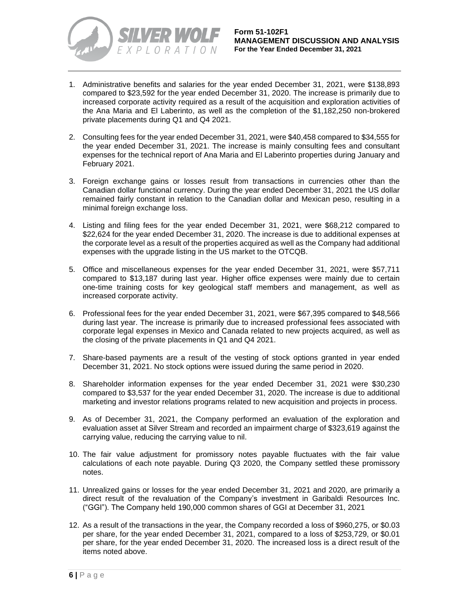

- 1. Administrative benefits and salaries for the year ended December 31, 2021, were \$138,893 compared to \$23,592 for the year ended December 31, 2020. The increase is primarily due to increased corporate activity required as a result of the acquisition and exploration activities of the Ana Maria and El Laberinto, as well as the completion of the \$1,182,250 non-brokered private placements during Q1 and Q4 2021.
- 2. Consulting fees for the year ended December 31, 2021, were \$40,458 compared to \$34,555 for the year ended December 31, 2021. The increase is mainly consulting fees and consultant expenses for the technical report of Ana Maria and El Laberinto properties during January and February 2021.
- 3. Foreign exchange gains or losses result from transactions in currencies other than the Canadian dollar functional currency. During the year ended December 31, 2021 the US dollar remained fairly constant in relation to the Canadian dollar and Mexican peso, resulting in a minimal foreign exchange loss.
- 4. Listing and filing fees for the year ended December 31, 2021, were \$68,212 compared to \$22,624 for the year ended December 31, 2020. The increase is due to additional expenses at the corporate level as a result of the properties acquired as well as the Company had additional expenses with the upgrade listing in the US market to the OTCQB.
- 5. Office and miscellaneous expenses for the year ended December 31, 2021, were \$57,711 compared to \$13,187 during last year. Higher office expenses were mainly due to certain one-time training costs for key geological staff members and management, as well as increased corporate activity.
- 6. Professional fees for the year ended December 31, 2021, were \$67,395 compared to \$48,566 during last year. The increase is primarily due to increased professional fees associated with corporate legal expenses in Mexico and Canada related to new projects acquired, as well as the closing of the private placements in Q1 and Q4 2021.
- 7. Share-based payments are a result of the vesting of stock options granted in year ended December 31, 2021. No stock options were issued during the same period in 2020.
- 8. Shareholder information expenses for the year ended December 31, 2021 were \$30,230 compared to \$3,537 for the year ended December 31, 2020. The increase is due to additional marketing and investor relations programs related to new acquisition and projects in process.
- 9. As of December 31, 2021, the Company performed an evaluation of the exploration and evaluation asset at Silver Stream and recorded an impairment charge of \$323,619 against the carrying value, reducing the carrying value to nil.
- 10. The fair value adjustment for promissory notes payable fluctuates with the fair value calculations of each note payable. During Q3 2020, the Company settled these promissory notes.
- 11. Unrealized gains or losses for the year ended December 31, 2021 and 2020, are primarily a direct result of the revaluation of the Company's investment in Garibaldi Resources Inc. ("GGI"). The Company held 190,000 common shares of GGI at December 31, 2021
- 12. As a result of the transactions in the year, the Company recorded a loss of \$960,275, or \$0.03 per share, for the year ended December 31, 2021, compared to a loss of \$253,729, or \$0.01 per share, for the year ended December 31, 2020. The increased loss is a direct result of the items noted above.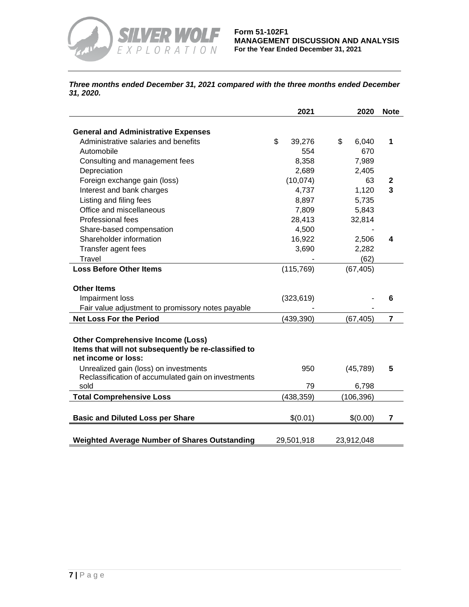

*Three months ended December 31, 2021 compared with the three months ended December 31, 2020.*

|                                                      | 2021         | 2020        | <b>Note</b>             |
|------------------------------------------------------|--------------|-------------|-------------------------|
| <b>General and Administrative Expenses</b>           |              |             |                         |
| Administrative salaries and benefits                 | \$<br>39,276 | \$<br>6,040 | 1                       |
| Automobile                                           | 554          | 670         |                         |
| Consulting and management fees                       | 8,358        | 7,989       |                         |
| Depreciation                                         | 2,689        | 2,405       |                         |
| Foreign exchange gain (loss)                         | (10,074)     | 63          | 2                       |
| Interest and bank charges                            | 4,737        | 1,120       | 3                       |
| Listing and filing fees                              | 8,897        | 5,735       |                         |
| Office and miscellaneous                             | 7,809        | 5,843       |                         |
| <b>Professional fees</b>                             | 28,413       | 32,814      |                         |
| Share-based compensation                             | 4,500        |             |                         |
| Shareholder information                              | 16,922       | 2,506       | 4                       |
| Transfer agent fees                                  | 3,690        | 2,282       |                         |
| Travel                                               |              | (62)        |                         |
| <b>Loss Before Other Items</b>                       | (115, 769)   | (67, 405)   |                         |
|                                                      |              |             |                         |
| <b>Other Items</b>                                   |              |             |                         |
| Impairment loss                                      | (323, 619)   |             | 6                       |
| Fair value adjustment to promissory notes payable    |              |             |                         |
| <b>Net Loss For the Period</b>                       | (439, 390)   | (67, 405)   | $\overline{\mathbf{r}}$ |
|                                                      |              |             |                         |
| <b>Other Comprehensive Income (Loss)</b>             |              |             |                         |
| Items that will not subsequently be re-classified to |              |             |                         |
| net income or loss:                                  |              |             |                         |
| Unrealized gain (loss) on investments                | 950          | (45, 789)   | 5                       |
| Reclassification of accumulated gain on investments  |              |             |                         |
| sold                                                 | 79           | 6,798       |                         |
| <b>Total Comprehensive Loss</b>                      | (438, 359)   | (106, 396)  |                         |
|                                                      |              |             |                         |
| <b>Basic and Diluted Loss per Share</b>              | \$(0.01)     | \$(0.00)    | 7                       |
|                                                      |              |             |                         |
| <b>Weighted Average Number of Shares Outstanding</b> | 29,501,918   | 23,912,048  |                         |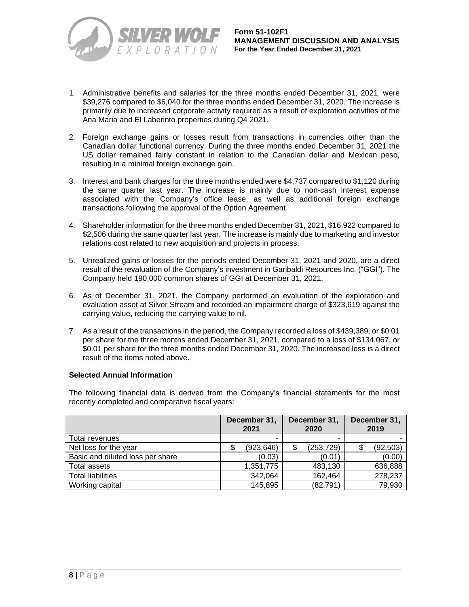

- 1. Administrative benefits and salaries for the three months ended December 31, 2021, were \$39,276 compared to \$6,040 for the three months ended December 31, 2020. The increase is primarily due to increased corporate activity required as a result of exploration activities of the Ana Maria and El Laberinto properties during Q4 2021.
- 2. Foreign exchange gains or losses result from transactions in currencies other than the Canadian dollar functional currency. During the three months ended December 31, 2021 the US dollar remained fairly constant in relation to the Canadian dollar and Mexican peso, resulting in a minimal foreign exchange gain.
- 3. Interest and bank charges for the three months ended were \$4,737 compared to \$1,120 during the same quarter last year. The increase is mainly due to non-cash interest expense associated with the Company's office lease, as well as additional foreign exchange transactions following the approval of the Option Agreement.
- 4. Shareholder information for the three months ended December 31, 2021, \$16,922 compared to \$2,506 during the same quarter last year. The increase is mainly due to marketing and investor relations cost related to new acquisition and projects in process.
- 5. Unrealized gains or losses for the periods ended December 31, 2021 and 2020, are a direct result of the revaluation of the Company's investment in Garibaldi Resources Inc. ("GGI"). The Company held 190,000 common shares of GGI at December 31, 2021.
- 6. As of December 31, 2021, the Company performed an evaluation of the exploration and evaluation asset at Silver Stream and recorded an impairment charge of \$323,619 against the carrying value, reducing the carrying value to nil.
- 7. As a result of the transactions in the period, the Company recorded a loss of \$439,389, or \$0.01 per share for the three months ended December 31, 2021, compared to a loss of \$134,067, or \$0.01 per share for the three months ended December 31, 2020. The increased loss is a direct result of the items noted above.

# **Selected Annual Information**

The following financial data is derived from the Company's financial statements for the most recently completed and comparative fiscal years:

|                                  | December 31,<br>2021 |            | December 31,<br>2020 |            |           |  | December 31,<br>2019 |
|----------------------------------|----------------------|------------|----------------------|------------|-----------|--|----------------------|
| Total revenues                   |                      |            |                      |            |           |  |                      |
| Net loss for the year            | \$                   | (923, 646) | \$                   | (253, 729) | (92, 503) |  |                      |
| Basic and diluted loss per share |                      | (0.03)     |                      | (0.01)     | (0.00)    |  |                      |
| Total assets                     |                      | 1,351,775  |                      | 483,130    | 636,888   |  |                      |
| <b>Total liabilities</b>         |                      | 342,064    |                      | 162,464    | 278,237   |  |                      |
| Working capital                  |                      | 145,895    |                      | (82, 791)  | 79,930    |  |                      |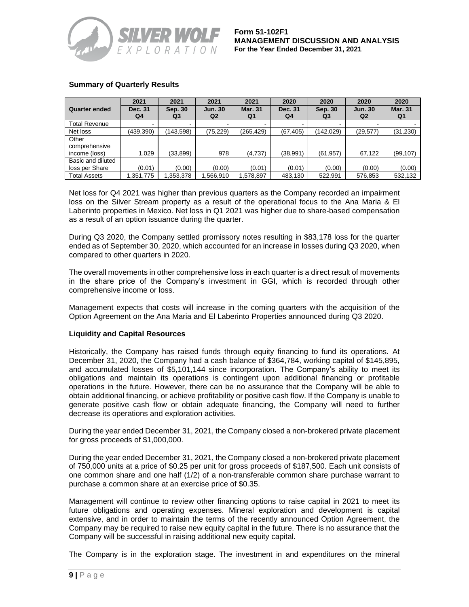

# **Summary of Quarterly Results**

|                                         | 2021          | 2021          | 2021                             | 2021                 | 2020          | 2020                      | 2020                             | 2020                 |
|-----------------------------------------|---------------|---------------|----------------------------------|----------------------|---------------|---------------------------|----------------------------------|----------------------|
| <b>Quarter ended</b>                    | Dec. 31<br>Q4 | Sep. 30<br>Q3 | <b>Jun. 30</b><br>Q <sub>2</sub> | <b>Mar. 31</b><br>Q1 | Dec. 31<br>Q4 | Sep. 30<br>Q <sub>3</sub> | <b>Jun. 30</b><br>Q <sub>2</sub> | <b>Mar. 31</b><br>Q1 |
| <b>Total Revenue</b>                    |               |               |                                  |                      |               |                           |                                  |                      |
| Net loss                                | (439,390)     | (143,598)     | (75, 229)                        | (265, 429)           | (67, 405)     | (142,029)                 | (29, 577)                        | (31, 230)            |
| Other<br>comprehensive<br>income (loss) | 1.029         | (33,899)      | 978                              | (4,737)              | (38,991)      | (61, 957)                 | 67.122                           | (99, 107)            |
| Basic and diluted                       |               |               |                                  |                      |               |                           |                                  |                      |
| loss per Share                          | (0.01)        | (0.00)        | (0.00)                           | (0.01)               | (0.01)        | (0.00)                    | (0.00)                           | (0.00)               |
| <b>Total Assets</b>                     | ,351,775      | 0.353,378     | .566.910                         | 1,578,897            | 483,130       | 522.991                   | 576.853                          | 532,132              |

Net loss for Q4 2021 was higher than previous quarters as the Company recorded an impairment loss on the Silver Stream property as a result of the operational focus to the Ana Maria & El Laberinto properties in Mexico. Net loss in Q1 2021 was higher due to share-based compensation as a result of an option issuance during the quarter.

During Q3 2020, the Company settled promissory notes resulting in \$83,178 loss for the quarter ended as of September 30, 2020, which accounted for an increase in losses during Q3 2020, when compared to other quarters in 2020.

The overall movements in other comprehensive loss in each quarter is a direct result of movements in the share price of the Company's investment in GGI, which is recorded through other comprehensive income or loss.

Management expects that costs will increase in the coming quarters with the acquisition of the Option Agreement on the Ana Maria and El Laberinto Properties announced during Q3 2020.

### **Liquidity and Capital Resources**

Historically, the Company has raised funds through equity financing to fund its operations. At December 31, 2020, the Company had a cash balance of \$364,784, working capital of \$145,895, and accumulated losses of \$5,101,144 since incorporation. The Company's ability to meet its obligations and maintain its operations is contingent upon additional financing or profitable operations in the future. However, there can be no assurance that the Company will be able to obtain additional financing, or achieve profitability or positive cash flow. If the Company is unable to generate positive cash flow or obtain adequate financing, the Company will need to further decrease its operations and exploration activities.

During the year ended December 31, 2021, the Company closed a non-brokered private placement for gross proceeds of \$1,000,000.

During the year ended December 31, 2021, the Company closed a non-brokered private placement of 750,000 units at a price of \$0.25 per unit for gross proceeds of \$187,500. Each unit consists of one common share and one half (1/2) of a non-transferable common share purchase warrant to purchase a common share at an exercise price of \$0.35.

Management will continue to review other financing options to raise capital in 2021 to meet its future obligations and operating expenses. Mineral exploration and development is capital extensive, and in order to maintain the terms of the recently announced Option Agreement, the Company may be required to raise new equity capital in the future. There is no assurance that the Company will be successful in raising additional new equity capital.

The Company is in the exploration stage. The investment in and expenditures on the mineral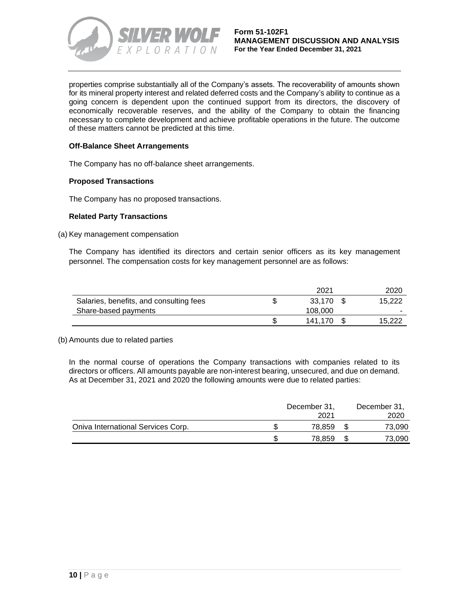

properties comprise substantially all of the Company's assets. The recoverability of amounts shown for its mineral property interest and related deferred costs and the Company's ability to continue as a going concern is dependent upon the continued support from its directors, the discovery of economically recoverable reserves, and the ability of the Company to obtain the financing necessary to complete development and achieve profitable operations in the future. The outcome of these matters cannot be predicted at this time.

### **Off-Balance Sheet Arrangements**

The Company has no off-balance sheet arrangements.

### **Proposed Transactions**

The Company has no proposed transactions.

### **Related Party Transactions**

(a) Key management compensation

The Company has identified its directors and certain senior officers as its key management personnel. The compensation costs for key management personnel are as follows:

|                                         | 2021    | 2020   |
|-----------------------------------------|---------|--------|
| Salaries, benefits, and consulting fees | 33.170  | 15.222 |
| Share-based payments                    | 108,000 |        |
|                                         | 141.170 | 15.222 |

#### (b) Amounts due to related parties

In the normal course of operations the Company transactions with companies related to its directors or officers. All amounts payable are non-interest bearing, unsecured, and due on demand. As at December 31, 2021 and 2020 the following amounts were due to related parties:

|                                    | December 31,<br>2021 | December 31,<br>2020 |
|------------------------------------|----------------------|----------------------|
| Oniva International Services Corp. | 78.859               | 73,090               |
|                                    | 78.859               | 73.090               |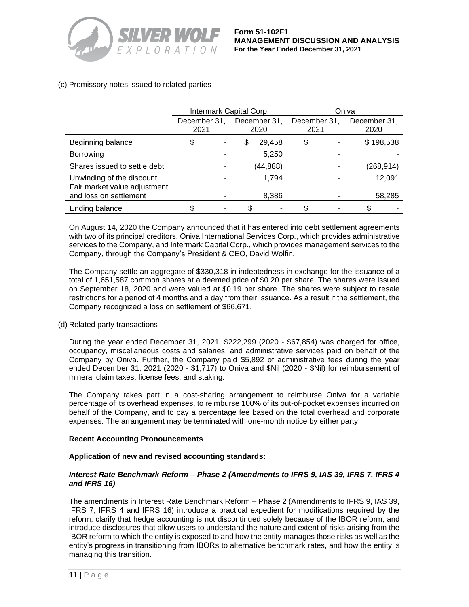

# (c) Promissory notes issued to related parties

|                                                           | Intermark Capital Corp. |   |    |                      | Oniva                |  |                      |  |
|-----------------------------------------------------------|-------------------------|---|----|----------------------|----------------------|--|----------------------|--|
|                                                           | December 31,<br>2021    |   |    | December 31,<br>2020 | December 31,<br>2021 |  | December 31,<br>2020 |  |
| Beginning balance                                         | \$                      | ۰ | \$ | 29,458               | \$                   |  | \$198,538            |  |
| <b>Borrowing</b>                                          |                         |   |    | 5,250                |                      |  |                      |  |
| Shares issued to settle debt                              |                         |   |    | (44,888)             |                      |  | (268,914)            |  |
| Unwinding of the discount<br>Fair market value adjustment |                         |   |    | 1,794                |                      |  | 12,091               |  |
| and loss on settlement                                    |                         |   |    | 8,386                |                      |  | 58,285               |  |
| Ending balance                                            |                         |   | \$ |                      |                      |  | \$                   |  |

On August 14, 2020 the Company announced that it has entered into debt settlement agreements with two of its principal creditors, Oniva International Services Corp., which provides administrative services to the Company, and Intermark Capital Corp., which provides management services to the Company, through the Company's President & CEO, David Wolfin.

The Company settle an aggregate of \$330,318 in indebtedness in exchange for the issuance of a total of 1,651,587 common shares at a deemed price of \$0.20 per share. The shares were issued on September 18, 2020 and were valued at \$0.19 per share. The shares were subject to resale restrictions for a period of 4 months and a day from their issuance. As a result if the settlement, the Company recognized a loss on settlement of \$66,671.

### (d) Related party transactions

During the year ended December 31, 2021, \$222,299 (2020 - \$67,854) was charged for office, occupancy, miscellaneous costs and salaries, and administrative services paid on behalf of the Company by Oniva. Further, the Company paid \$5,892 of administrative fees during the year ended December 31, 2021 (2020 - \$1,717) to Oniva and \$Nil (2020 - \$Nil) for reimbursement of mineral claim taxes, license fees, and staking.

The Company takes part in a cost-sharing arrangement to reimburse Oniva for a variable percentage of its overhead expenses, to reimburse 100% of its out-of-pocket expenses incurred on behalf of the Company, and to pay a percentage fee based on the total overhead and corporate expenses. The arrangement may be terminated with one-month notice by either party.

### **Recent Accounting Pronouncements**

### **Application of new and revised accounting standards:**

### *Interest Rate Benchmark Reform – Phase 2 (Amendments to IFRS 9, IAS 39, IFRS 7, IFRS 4 and IFRS 16)*

The amendments in Interest Rate Benchmark Reform – Phase 2 (Amendments to IFRS 9, IAS 39, IFRS 7, IFRS 4 and IFRS 16) introduce a practical expedient for modifications required by the reform, clarify that hedge accounting is not discontinued solely because of the IBOR reform, and introduce disclosures that allow users to understand the nature and extent of risks arising from the IBOR reform to which the entity is exposed to and how the entity manages those risks as well as the entity's progress in transitioning from IBORs to alternative benchmark rates, and how the entity is managing this transition.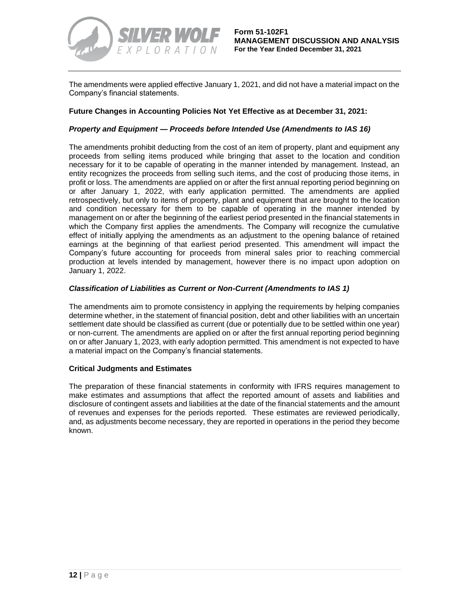

The amendments were applied effective January 1, 2021, and did not have a material impact on the Company's financial statements.

### **Future Changes in Accounting Policies Not Yet Effective as at December 31, 2021:**

#### *Property and Equipment — Proceeds before Intended Use (Amendments to IAS 16)*

The amendments prohibit deducting from the cost of an item of property, plant and equipment any proceeds from selling items produced while bringing that asset to the location and condition necessary for it to be capable of operating in the manner intended by management. Instead, an entity recognizes the proceeds from selling such items, and the cost of producing those items, in profit or loss. The amendments are applied on or after the first annual reporting period beginning on or after January 1, 2022, with early application permitted. The amendments are applied retrospectively, but only to items of property, plant and equipment that are brought to the location and condition necessary for them to be capable of operating in the manner intended by management on or after the beginning of the earliest period presented in the financial statements in which the Company first applies the amendments. The Company will recognize the cumulative effect of initially applying the amendments as an adjustment to the opening balance of retained earnings at the beginning of that earliest period presented. This amendment will impact the Company's future accounting for proceeds from mineral sales prior to reaching commercial production at levels intended by management, however there is no impact upon adoption on January 1, 2022.

#### *Classification of Liabilities as Current or Non-Current (Amendments to IAS 1)*

The amendments aim to promote consistency in applying the requirements by helping companies determine whether, in the statement of financial position, debt and other liabilities with an uncertain settlement date should be classified as current (due or potentially due to be settled within one year) or non-current. The amendments are applied on or after the first annual reporting period beginning on or after January 1, 2023, with early adoption permitted. This amendment is not expected to have a material impact on the Company's financial statements.

### **Critical Judgments and Estimates**

The preparation of these financial statements in conformity with IFRS requires management to make estimates and assumptions that affect the reported amount of assets and liabilities and disclosure of contingent assets and liabilities at the date of the financial statements and the amount of revenues and expenses for the periods reported. These estimates are reviewed periodically, and, as adjustments become necessary, they are reported in operations in the period they become known.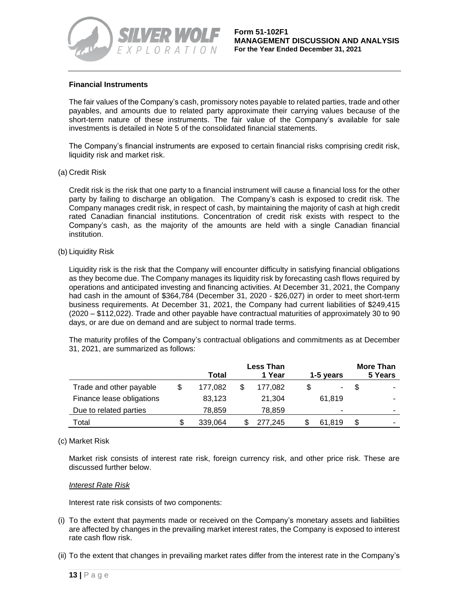

#### **Financial Instruments**

The fair values of the Company's cash, promissory notes payable to related parties, trade and other payables, and amounts due to related party approximate their carrying values because of the short-term nature of these instruments. The fair value of the Company's available for sale investments is detailed in Note 5 of the consolidated financial statements.

The Company's financial instruments are exposed to certain financial risks comprising credit risk, liquidity risk and market risk.

#### (a) Credit Risk

Credit risk is the risk that one party to a financial instrument will cause a financial loss for the other party by failing to discharge an obligation. The Company's cash is exposed to credit risk. The Company manages credit risk, in respect of cash, by maintaining the majority of cash at high credit rated Canadian financial institutions. Concentration of credit risk exists with respect to the Company's cash, as the majority of the amounts are held with a single Canadian financial institution.

#### (b) Liquidity Risk

Liquidity risk is the risk that the Company will encounter difficulty in satisfying financial obligations as they become due. The Company manages its liquidity risk by forecasting cash flows required by operations and anticipated investing and financing activities. At December 31, 2021, the Company had cash in the amount of \$364,784 (December 31, 2020 - \$26,027) in order to meet short-term business requirements. At December 31, 2021, the Company had current liabilities of \$249,415 (2020 – \$112,022). Trade and other payable have contractual maturities of approximately 30 to 90 days, or are due on demand and are subject to normal trade terms.

The maturity profiles of the Company's contractual obligations and commitments as at December 31, 2021, are summarized as follows:

|                           | <b>Less Than</b> |  |         |  |           |  | <b>More Than</b> |
|---------------------------|------------------|--|---------|--|-----------|--|------------------|
|                           | Total            |  | 1 Year  |  | 1-5 years |  | 5 Years          |
| Trade and other payable   | 177,082          |  | 177.082 |  | ۰         |  | ۰                |
| Finance lease obligations | 83,123           |  | 21,304  |  | 61.819    |  |                  |
| Due to related parties    | 78.859           |  | 78,859  |  | -         |  |                  |
| Total                     | 339.064          |  | 277.245 |  | 61.819    |  |                  |

#### (c) Market Risk

Market risk consists of interest rate risk, foreign currency risk, and other price risk. These are discussed further below.

#### *Interest Rate Risk*

Interest rate risk consists of two components:

- (i) To the extent that payments made or received on the Company's monetary assets and liabilities are affected by changes in the prevailing market interest rates, the Company is exposed to interest rate cash flow risk.
- (ii) To the extent that changes in prevailing market rates differ from the interest rate in the Company's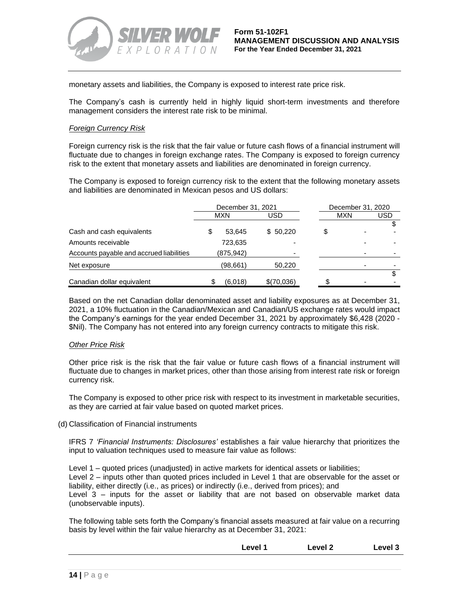

monetary assets and liabilities, the Company is exposed to interest rate price risk.

The Company's cash is currently held in highly liquid short-term investments and therefore management considers the interest rate risk to be minimal.

#### *Foreign Currency Risk*

Foreign currency risk is the risk that the fair value or future cash flows of a financial instrument will fluctuate due to changes in foreign exchange rates. The Company is exposed to foreign currency risk to the extent that monetary assets and liabilities are denominated in foreign currency.

The Company is exposed to foreign currency risk to the extent that the following monetary assets and liabilities are denominated in Mexican pesos and US dollars:

|                                          |   | December 31, 2021 |            | December 31, 2020 |     |     |     |
|------------------------------------------|---|-------------------|------------|-------------------|-----|-----|-----|
|                                          |   | MXN               |            |                   | USD | MXN | USD |
|                                          |   |                   |            |                   |     |     |     |
| Cash and cash equivalents                | S | 53.645            | \$50.220   | \$                |     |     |     |
| Amounts receivable                       |   | 723,635           |            |                   |     |     |     |
| Accounts payable and accrued liabilities |   | (875, 942)        |            |                   |     |     |     |
| Net exposure                             |   | (98,661)          | 50,220     |                   |     |     |     |
|                                          |   |                   |            |                   |     |     |     |
| Canadian dollar equivalent               |   | (6.018)           | \$(70,036) |                   |     |     |     |

Based on the net Canadian dollar denominated asset and liability exposures as at December 31, 2021, a 10% fluctuation in the Canadian/Mexican and Canadian/US exchange rates would impact the Company's earnings for the year ended December 31, 2021 by approximately \$6,428 (2020 - \$Nil). The Company has not entered into any foreign currency contracts to mitigate this risk.

#### *Other Price Risk*

Other price risk is the risk that the fair value or future cash flows of a financial instrument will fluctuate due to changes in market prices, other than those arising from interest rate risk or foreign currency risk.

The Company is exposed to other price risk with respect to its investment in marketable securities, as they are carried at fair value based on quoted market prices.

(d) Classification of Financial instruments

IFRS 7 *'Financial Instruments: Disclosures'* establishes a fair value hierarchy that prioritizes the input to valuation techniques used to measure fair value as follows:

Level 1 – quoted prices (unadjusted) in active markets for identical assets or liabilities; Level 2 – inputs other than quoted prices included in Level 1 that are observable for the asset or liability, either directly (i.e., as prices) or indirectly (i.e., derived from prices); and Level 3 – inputs for the asset or liability that are not based on observable market data (unobservable inputs).

The following table sets forth the Company's financial assets measured at fair value on a recurring basis by level within the fair value hierarchy as at December 31, 2021:

**Level 1 Level 2 Level 3**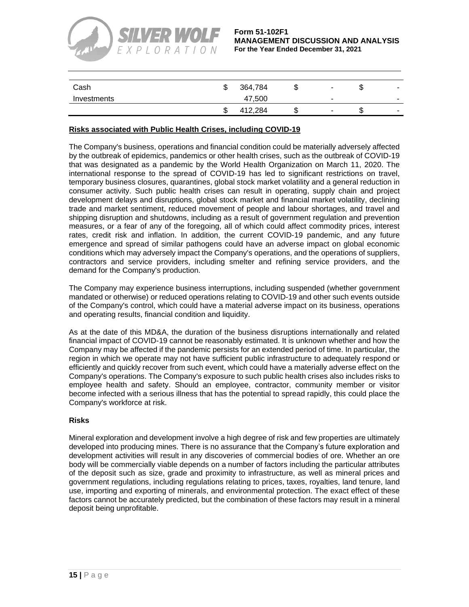

**Form 51-102F1 MANAGEMENT DISCUSSION AND ANALYSIS For the Year Ended December 31, 2021**

| Cash        | ۰D | 364,784 | J | $\overline{\phantom{a}}$ |  |
|-------------|----|---------|---|--------------------------|--|
| Investments |    | 47,500  |   | $\overline{\phantom{a}}$ |  |
|             | w  | 412.284 |   | $\sim$                   |  |

## **Risks associated with Public Health Crises, including COVID-19**

The Company's business, operations and financial condition could be materially adversely affected by the outbreak of epidemics, pandemics or other health crises, such as the outbreak of COVID-19 that was designated as a pandemic by the World Health Organization on March 11, 2020. The international response to the spread of COVID-19 has led to significant restrictions on travel, temporary business closures, quarantines, global stock market volatility and a general reduction in consumer activity. Such public health crises can result in operating, supply chain and project development delays and disruptions, global stock market and financial market volatility, declining trade and market sentiment, reduced movement of people and labour shortages, and travel and shipping disruption and shutdowns, including as a result of government regulation and prevention measures, or a fear of any of the foregoing, all of which could affect commodity prices, interest rates, credit risk and inflation. In addition, the current COVID-19 pandemic, and any future emergence and spread of similar pathogens could have an adverse impact on global economic conditions which may adversely impact the Company's operations, and the operations of suppliers, contractors and service providers, including smelter and refining service providers, and the demand for the Company's production.

The Company may experience business interruptions, including suspended (whether government mandated or otherwise) or reduced operations relating to COVID-19 and other such events outside of the Company's control, which could have a material adverse impact on its business, operations and operating results, financial condition and liquidity.

As at the date of this MD&A, the duration of the business disruptions internationally and related financial impact of COVID-19 cannot be reasonably estimated. It is unknown whether and how the Company may be affected if the pandemic persists for an extended period of time. In particular, the region in which we operate may not have sufficient public infrastructure to adequately respond or efficiently and quickly recover from such event, which could have a materially adverse effect on the Company's operations. The Company's exposure to such public health crises also includes risks to employee health and safety. Should an employee, contractor, community member or visitor become infected with a serious illness that has the potential to spread rapidly, this could place the Company's workforce at risk.

### **Risks**

Mineral exploration and development involve a high degree of risk and few properties are ultimately developed into producing mines. There is no assurance that the Company's future exploration and development activities will result in any discoveries of commercial bodies of ore. Whether an ore body will be commercially viable depends on a number of factors including the particular attributes of the deposit such as size, grade and proximity to infrastructure, as well as mineral prices and government regulations, including regulations relating to prices, taxes, royalties, land tenure, land use, importing and exporting of minerals, and environmental protection. The exact effect of these factors cannot be accurately predicted, but the combination of these factors may result in a mineral deposit being unprofitable.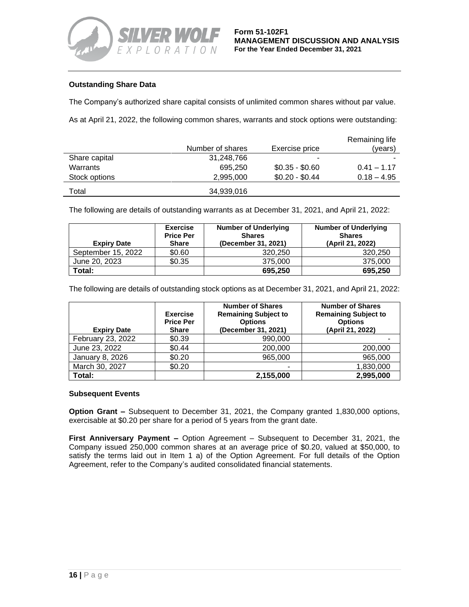

# **Outstanding Share Data**

The Company's authorized share capital consists of unlimited common shares without par value.

As at April 21, 2022, the following common shares, warrants and stock options were outstanding:

|               |                  |                 | Remaining life |
|---------------|------------------|-----------------|----------------|
|               | Number of shares | Exercise price  | (vears)        |
| Share capital | 31,248,766       |                 |                |
| Warrants      | 695.250          | $$0.35 - $0.60$ | $0.41 - 1.17$  |
| Stock options | 2.995.000        | $$0.20 - $0.44$ | $0.18 - 4.95$  |
| Total         | 34,939,016       |                 |                |

The following are details of outstanding warrants as at December 31, 2021, and April 21, 2022:

| <b>Expiry Date</b> | <b>Exercise</b><br><b>Price Per</b><br><b>Share</b> | <b>Number of Underlying</b><br><b>Shares</b><br>(December 31, 2021) | <b>Number of Underlying</b><br><b>Shares</b><br>(April 21, 2022) |
|--------------------|-----------------------------------------------------|---------------------------------------------------------------------|------------------------------------------------------------------|
| September 15, 2022 | \$0.60                                              | 320,250                                                             | 320,250                                                          |
| June 20, 2023      | \$0.35                                              | 375,000                                                             | 375,000                                                          |
| Total:             |                                                     | 695.250                                                             | 695,250                                                          |

The following are details of outstanding stock options as at December 31, 2021, and April 21, 2022:

| <b>Expiry Date</b> | <b>Exercise</b><br><b>Price Per</b><br><b>Share</b> | <b>Number of Shares</b><br><b>Remaining Subject to</b><br><b>Options</b><br>(December 31, 2021) | <b>Number of Shares</b><br><b>Remaining Subject to</b><br><b>Options</b><br>(April 21, 2022) |
|--------------------|-----------------------------------------------------|-------------------------------------------------------------------------------------------------|----------------------------------------------------------------------------------------------|
| February 23, 2022  | \$0.39                                              | 990,000                                                                                         |                                                                                              |
| June 23, 2022      | \$0.44                                              | 200,000                                                                                         | 200,000                                                                                      |
| January 8, 2026    | \$0.20                                              | 965,000                                                                                         | 965,000                                                                                      |
| March 30, 2027     | \$0.20                                              |                                                                                                 | 1,830,000                                                                                    |
| Total:             |                                                     | 2,155,000                                                                                       | 2,995,000                                                                                    |

### **Subsequent Events**

**Option Grant –** Subsequent to December 31, 2021, the Company granted 1,830,000 options, exercisable at \$0.20 per share for a period of 5 years from the grant date.

**First Anniversary Payment –** Option Agreement – Subsequent to December 31, 2021, the Company issued 250,000 common shares at an average price of \$0.20, valued at \$50,000, to satisfy the terms laid out in Item 1 a) of the Option Agreement. For full details of the Option Agreement, refer to the Company's audited consolidated financial statements.